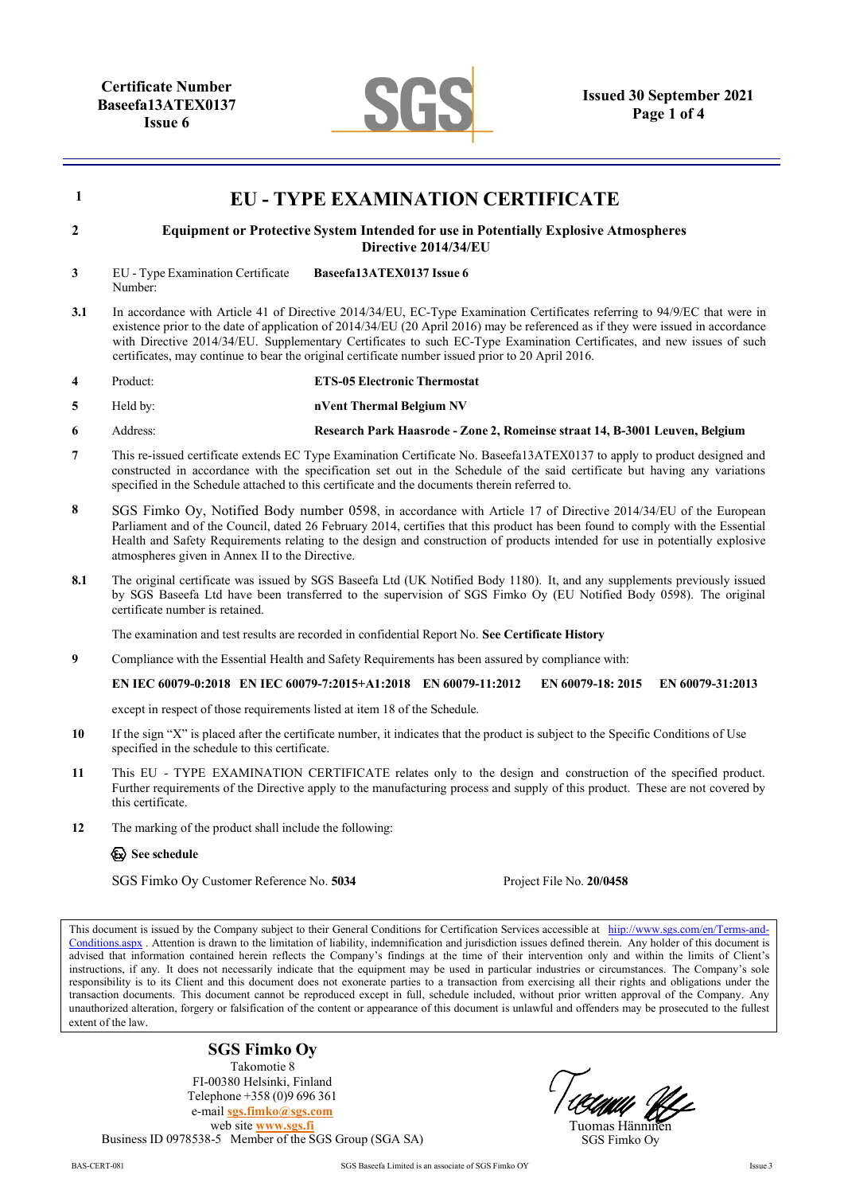

| 1   | <b>EU - TYPE EXAMINATION CERTIFICATE</b>                                                                                                                                                                                                                                                                                                                                                                                                                                                    |                                     |  |                                                                             |                  |  |
|-----|---------------------------------------------------------------------------------------------------------------------------------------------------------------------------------------------------------------------------------------------------------------------------------------------------------------------------------------------------------------------------------------------------------------------------------------------------------------------------------------------|-------------------------------------|--|-----------------------------------------------------------------------------|------------------|--|
| 2   | <b>Equipment or Protective System Intended for use in Potentially Explosive Atmospheres</b><br>Directive 2014/34/EU                                                                                                                                                                                                                                                                                                                                                                         |                                     |  |                                                                             |                  |  |
| 3   | EU - Type Examination Certificate<br>Number:                                                                                                                                                                                                                                                                                                                                                                                                                                                | Baseefa13ATEX0137 Issue 6           |  |                                                                             |                  |  |
| 3.1 | In accordance with Article 41 of Directive 2014/34/EU, EC-Type Examination Certificates referring to 94/9/EC that were in<br>existence prior to the date of application of 2014/34/EU (20 April 2016) may be referenced as if they were issued in accordance<br>with Directive 2014/34/EU. Supplementary Certificates to such EC-Type Examination Certificates, and new issues of such<br>certificates, may continue to bear the original certificate number issued prior to 20 April 2016. |                                     |  |                                                                             |                  |  |
| 4   | Product:                                                                                                                                                                                                                                                                                                                                                                                                                                                                                    | <b>ETS-05 Electronic Thermostat</b> |  |                                                                             |                  |  |
| 5   | Held by:                                                                                                                                                                                                                                                                                                                                                                                                                                                                                    | nVent Thermal Belgium NV            |  |                                                                             |                  |  |
| 6   | Address:                                                                                                                                                                                                                                                                                                                                                                                                                                                                                    |                                     |  | Research Park Haasrode - Zone 2, Romeinse straat 14, B-3001 Leuven, Belgium |                  |  |
| 7   | This re-issued certificate extends EC Type Examination Certificate No. Baseefa13ATEX0137 to apply to product designed and<br>constructed in accordance with the specification set out in the Schedule of the said certificate but having any variations<br>specified in the Schedule attached to this certificate and the documents therein referred to.                                                                                                                                    |                                     |  |                                                                             |                  |  |
| 8   | SGS Fimko Oy, Notified Body number 0598, in accordance with Article 17 of Directive 2014/34/EU of the European<br>Parliament and of the Council, dated 26 February 2014, certifies that this product has been found to comply with the Essential<br>Health and Safety Requirements relating to the design and construction of products intended for use in potentially explosive<br>atmospheres given in Annex II to the Directive.                                                         |                                     |  |                                                                             |                  |  |
| 8.1 | The original certificate was issued by SGS Baseefa Ltd (UK Notified Body 1180). It, and any supplements previously issued<br>by SGS Baseefa Ltd have been transferred to the supervision of SGS Fimko Oy (EU Notified Body 0598). The original<br>certificate number is retained.                                                                                                                                                                                                           |                                     |  |                                                                             |                  |  |
|     | The examination and test results are recorded in confidential Report No. See Certificate History                                                                                                                                                                                                                                                                                                                                                                                            |                                     |  |                                                                             |                  |  |
| 9   | Compliance with the Essential Health and Safety Requirements has been assured by compliance with:                                                                                                                                                                                                                                                                                                                                                                                           |                                     |  |                                                                             |                  |  |
|     | EN IEC 60079-0:2018 EN IEC 60079-7:2015+A1:2018 EN 60079-11:2012                                                                                                                                                                                                                                                                                                                                                                                                                            |                                     |  | EN 60079-18: 2015                                                           | EN 60079-31:2013 |  |
|     | except in respect of those requirements listed at item 18 of the Schedule.                                                                                                                                                                                                                                                                                                                                                                                                                  |                                     |  |                                                                             |                  |  |
| 10  | If the sign "X" is placed after the certificate number, it indicates that the product is subject to the Specific Conditions of Use<br>specified in the schedule to this certificate.                                                                                                                                                                                                                                                                                                        |                                     |  |                                                                             |                  |  |
| 11  | This EU - TYPE EXAMINATION CERTIFICATE relates only to the design and construction of the specified product.<br>Further requirements of the Directive apply to the manufacturing process and supply of this product. These are not covered by<br>this certificate.                                                                                                                                                                                                                          |                                     |  |                                                                             |                  |  |
| 12  | The marking of the product shall include the following:                                                                                                                                                                                                                                                                                                                                                                                                                                     |                                     |  |                                                                             |                  |  |
|     | See schedule                                                                                                                                                                                                                                                                                                                                                                                                                                                                                |                                     |  |                                                                             |                  |  |
|     | SGS Fimko Oy Customer Reference No. 5034                                                                                                                                                                                                                                                                                                                                                                                                                                                    |                                     |  | Project File No. 20/0458                                                    |                  |  |
|     | This document is issued by the Company subject to their General Conditions for Certification Services accessible at hiip://www.sgs.com/en/Terms-and-<br>Conditions aspx. Attention is drawn to the limitation of liability, indemnification and jurisdiction issues defined therein. Any holder of this document is                                                                                                                                                                         |                                     |  |                                                                             |                  |  |

[Conditions.aspx](http://www.sgs.com/en/Terms-and-Conditions.aspx) . Attention is drawn to the limitation of liability, indemnification and jurisdiction issues defined therein. Any holder of this document is advised that information contained herein reflects the Company's findings at the time of their intervention only and within the limits of Client's instructions, if any. It does not necessarily indicate that the equipment may be used in particular industries or circumstances. The Company's sole responsibility is to its Client and this document does not exonerate parties to a transaction from exercising all their rights and obligations under the transaction documents. This document cannot be reproduced except in full, schedule included, without prior written approval of the Company. Any unauthorized alteration, forgery or falsification of the content or appearance of this document is unlawful and offenders may be prosecuted to the fullest extent of the law.

**SGS Fimko Oy** Takomotie 8 FI-00380 Helsinki, Finland Telephone +358 (0)9 696 361 e-mail **[sgs.fimko@sgs.com](mailto:sgs.fimko@sgs.com)** web site **[www.sgs.fi](http://www.sgs.fi/)** Business ID 0978538-5 Member of the SGS Group (SGA SA)

Tuomas Hännin SGS Fimko Oy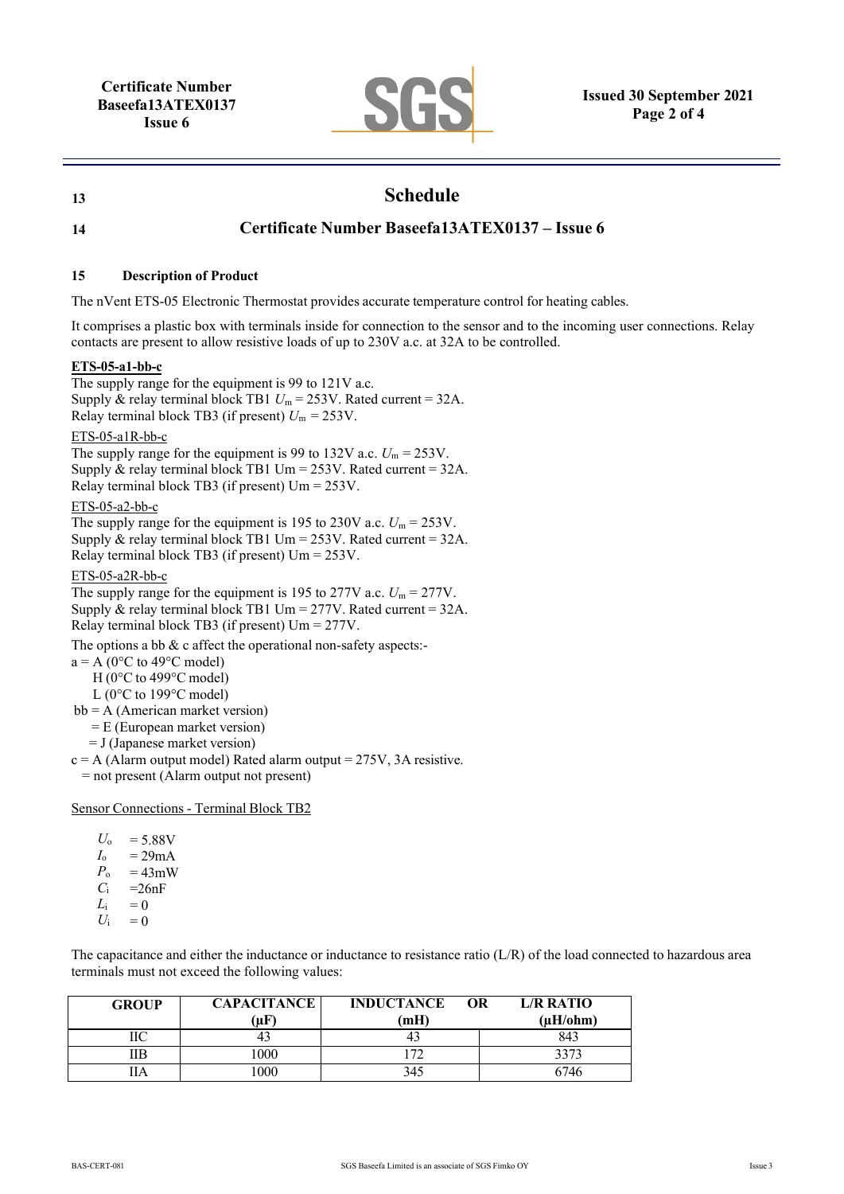

# **13 Schedule**

# **14 Certificate Number Baseefa13ATEX0137 – Issue 6**

### **15 Description of Product**

The nVent ETS-05 Electronic Thermostat provides accurate temperature control for heating cables.

It comprises a plastic box with terminals inside for connection to the sensor and to the incoming user connections. Relay contacts are present to allow resistive loads of up to 230V a.c. at 32A to be controlled.

## **ETS-05-a1-bb-c**

The supply range for the equipment is 99 to 121V a.c. Supply & relay terminal block TB1  $U_m = 253V$ . Rated current = 32A. Relay terminal block TB3 (if present)  $U_m = 253V$ .

ETS-05-a1R-bb-c

The supply range for the equipment is 99 to 132V a.c.  $U_m = 253V$ . Supply & relay terminal block TB1 Um =  $253V$ . Rated current =  $32A$ . Relay terminal block TB3 (if present) Um = 253V.

ETS-05-a2-bb-c

The supply range for the equipment is 195 to 230V a.c.  $U_m = 253V$ . Supply & relay terminal block TB1 Um =  $253V$ . Rated current =  $32A$ . Relay terminal block TB3 (if present) Um = 253V.

ETS-05-a2R-bb-c

The supply range for the equipment is 195 to 277V a.c.  $U_m = 277V$ . Supply & relay terminal block TB1 Um =  $277V$ . Rated current =  $32A$ . Relay terminal block TB3 (if present) Um = 277V.

The options a bb & c affect the operational non-safety aspects:-

 $a = A$  (0°C to 49°C model)

H (0°C to 499°C model)

L (0°C to 199°C model)

bb = A (American market version)

= E (European market version)

- = J (Japanese market version)
- $c = A$  (Alarm output model) Rated alarm output = 275V, 3A resistive.

= not present (Alarm output not present)

Sensor Connections - Terminal Block TB2

- $U_0 = 5.88V$
- 
- $I_o$  = 29mA<br> $P_o$  = 43mW  $P_o$  = 43mW<br>*C<sub>i</sub>* = 26nF
- $C_i$  =26nF<br> $L_i$  = 0
- $= 0$
- $U_i = 0$

The capacitance and either the inductance or inductance to resistance ratio (L/R) of the load connected to hazardous area terminals must not exceed the following values:

| <b>GROUP</b> | <b>CAPACITANCE</b> | <b>INDUCTANCE</b><br>OR | L/R RATIO     |
|--------------|--------------------|-------------------------|---------------|
|              | (uF)               | (mH)                    | $(\mu H/ohm)$ |
| ПC           |                    |                         | 843           |
| IІB          | .000               | 72                      | 3373          |
| IIА          | 000                | 345                     | 6746          |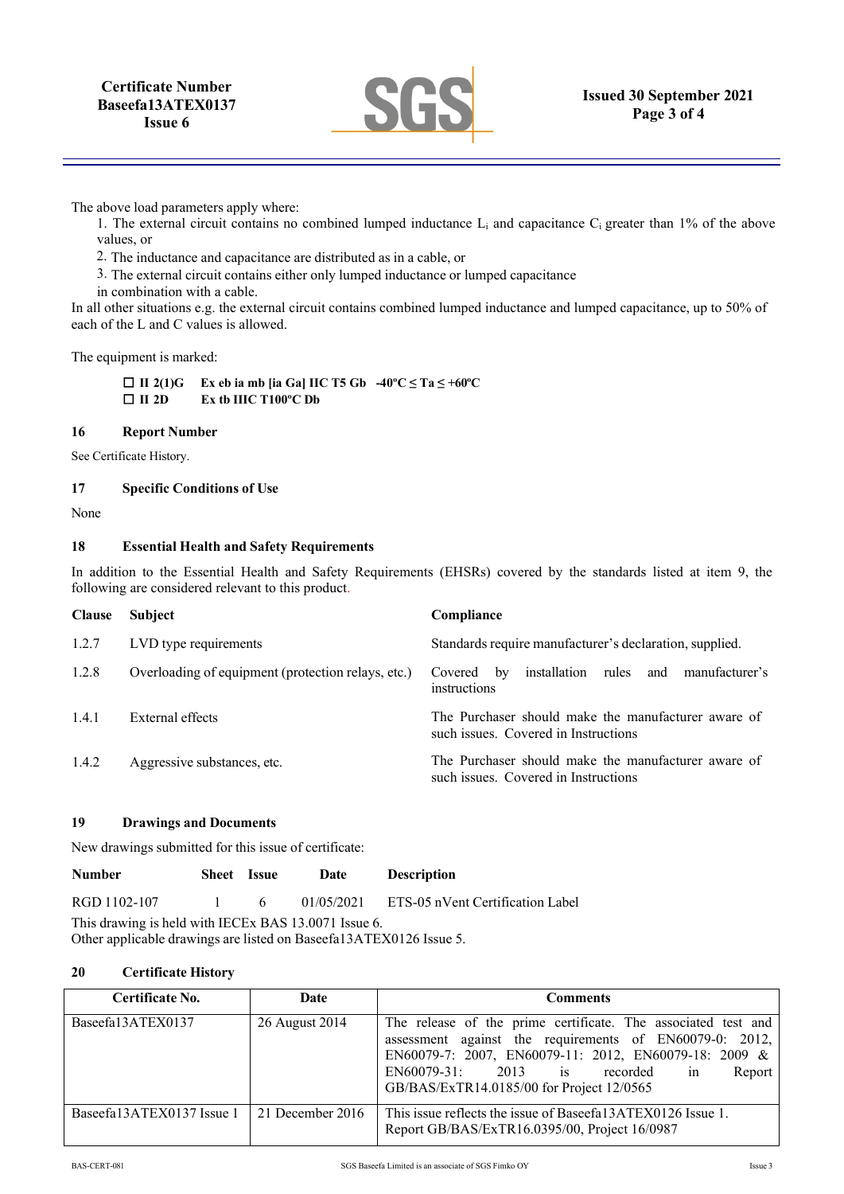

The above load parameters apply where:

1. The external circuit contains no combined lumped inductance L<sub>i</sub> and capacitance C<sub>i</sub> greater than 1% of the above values, or

2. The inductance and capacitance are distributed as in a cable, or

3. The external circuit contains either only lumped inductance or lumped capacitance

in combination with a cable.

In all other situations e.g. the external circuit contains combined lumped inductance and lumped capacitance, up to 50% of each of the L and C values is allowed.

The equipment is marked:

 **II 2(1)G Ex eb ia mb [ia Ga] IIC T5 Gb -40ºC ≤ Ta ≤ +60ºC**  $\Box$  **III** 2D **Ex tb IIIC T100°C Db** 

#### **16 Report Number**

See Certificate History.

#### **17 Specific Conditions of Use**

None

## **18 Essential Health and Safety Requirements**

In addition to the Essential Health and Safety Requirements (EHSRs) covered by the standards listed at item 9, the following are considered relevant to this product.

| <b>Clause</b> | <b>Subject</b>                                     | Compliance                                                                                  |
|---------------|----------------------------------------------------|---------------------------------------------------------------------------------------------|
| 1.2.7         | LVD type requirements                              | Standards require manufacturer's declaration, supplied.                                     |
| 1.2.8         | Overloading of equipment (protection relays, etc.) | installation rules and manufacturer's<br>Covered by<br>instructions                         |
| 1.4.1         | External effects                                   | The Purchaser should make the manufacturer aware of<br>such issues. Covered in Instructions |
| 1.4.2         | Aggressive substances, etc.                        | The Purchaser should make the manufacturer aware of<br>such issues. Covered in Instructions |

### **19 Drawings and Documents**

New drawings submitted for this issue of certificate:

| <b>Number</b>                                        | Sheet Issue |  | Date | <b>Description</b>                          |  |
|------------------------------------------------------|-------------|--|------|---------------------------------------------|--|
| RGD 1102-107 1 6                                     |             |  |      | 01/05/2021 ETS-05 nVent Certification Label |  |
| This drawing is held with IECEx BAS 13.0071 Issue 6. |             |  |      |                                             |  |

Other applicable drawings are listed on Baseefa13ATEX0126 Issue 5.

## **20 Certificate History**

| Certificate No.           | Date             | <b>Comments</b>                                                                                                                                                                                                                                                               |
|---------------------------|------------------|-------------------------------------------------------------------------------------------------------------------------------------------------------------------------------------------------------------------------------------------------------------------------------|
| Baseefa13ATEX0137         | 26 August 2014   | The release of the prime certificate. The associated test and<br>assessment against the requirements of EN60079-0: 2012,<br>EN60079-7: 2007, EN60079-11: 2012, EN60079-18: 2009 &<br>$EN60079-31: 2013$ is recorded in<br>Report<br>GB/BAS/ExTR14.0185/00 for Project 12/0565 |
| Baseefa13ATEX0137 Issue 1 | 21 December 2016 | This issue reflects the issue of Baseefa13ATEX0126 Issue 1.<br>Report GB/BAS/ExTR16.0395/00, Project 16/0987                                                                                                                                                                  |